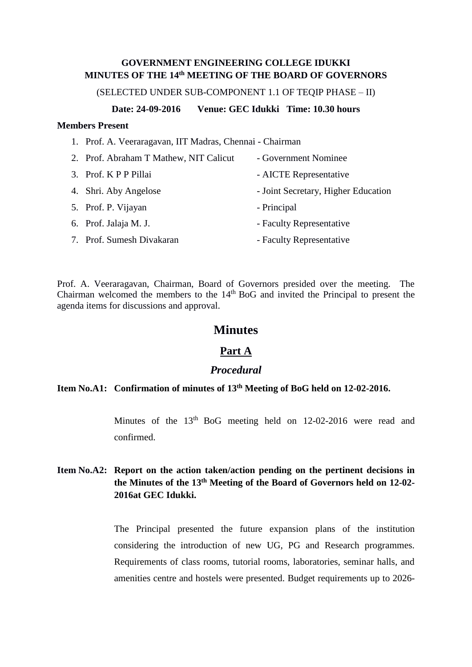## **GOVERNMENT ENGINEERING COLLEGE IDUKKI MINUTES OF THE 14th MEETING OF THE BOARD OF GOVERNORS**

(SELECTED UNDER SUB-COMPONENT 1.1 OF TEQIP PHASE – II)

### **Date: 24-09-2016 Venue: GEC Idukki Time: 10.30 hours**

### **Members Present**

|  |  | 1. Prof. A. Veeraragavan, IIT Madras, Chennai - Chairman |  |  |  |
|--|--|----------------------------------------------------------|--|--|--|
|--|--|----------------------------------------------------------|--|--|--|

2. Prof. Abraham T Mathew, NIT Calicut - Government Nominee 3. Prof. K P P Pillai - AICTE Representative 4. Shri. Aby Angelose - Joint Secretary, Higher Education 5. Prof. P. Vijayan - Principal 6. Prof. Jalaja M. J. - Faculty Representative 7. Prof. Sumesh Divakaran - Faculty Representative

Prof. A. Veeraragavan, Chairman, Board of Governors presided over the meeting. The Chairman welcomed the members to the  $14<sup>th</sup>$  BoG and invited the Principal to present the agenda items for discussions and approval.

## **Minutes**

# **Part A**

## *Procedural*

# **Item No.A1: Confirmation of minutes of 13th Meeting of BoG held on 12-02-2016.**

Minutes of the  $13<sup>th</sup>$  BoG meeting held on 12-02-2016 were read and confirmed.

# **Item No.A2: Report on the action taken/action pending on the pertinent decisions in the Minutes of the 13 th Meeting of the Board of Governors held on 12-02- 2016at GEC Idukki.**

The Principal presented the future expansion plans of the institution considering the introduction of new UG, PG and Research programmes. Requirements of class rooms, tutorial rooms, laboratories, seminar halls, and amenities centre and hostels were presented. Budget requirements up to 2026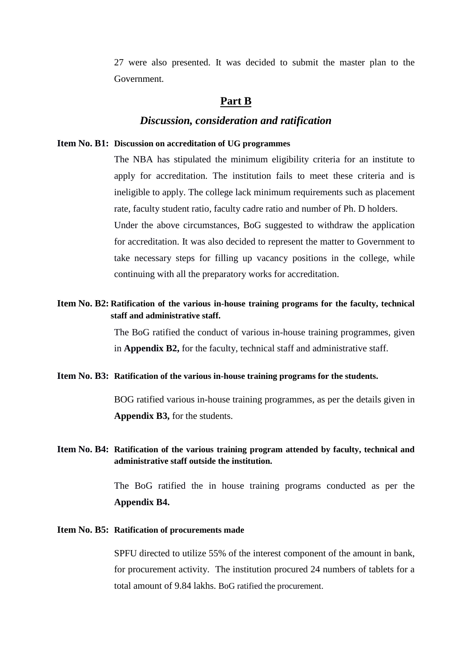27 were also presented. It was decided to submit the master plan to the Government.

# **Part B**

## *Discussion, consideration and ratification*

#### **Item No. B1: Discussion on accreditation of UG programmes**

The NBA has stipulated the minimum eligibility criteria for an institute to apply for accreditation. The institution fails to meet these criteria and is ineligible to apply. The college lack minimum requirements such as placement rate, faculty student ratio, faculty cadre ratio and number of Ph. D holders.

Under the above circumstances, BoG suggested to withdraw the application for accreditation. It was also decided to represent the matter to Government to take necessary steps for filling up vacancy positions in the college, while continuing with all the preparatory works for accreditation.

# **Item No. B2: Ratification of the various in-house training programs for the faculty, technical staff and administrative staff.**

The BoG ratified the conduct of various in-house training programmes, given in **Appendix B2,** for the faculty, technical staff and administrative staff.

#### **Item No. B3: Ratification of the various in-house training programs for the students.**

BOG ratified various in-house training programmes, as per the details given in **Appendix B3,** for the students.

## **Item No. B4: Ratification of the various training program attended by faculty, technical and administrative staff outside the institution.**

The BoG ratified the in house training programs conducted as per the **Appendix B4.**

### **Item No. B5: Ratification of procurements made**

SPFU directed to utilize 55% of the interest component of the amount in bank, for procurement activity. The institution procured 24 numbers of tablets for a total amount of 9.84 lakhs. BoG ratified the procurement.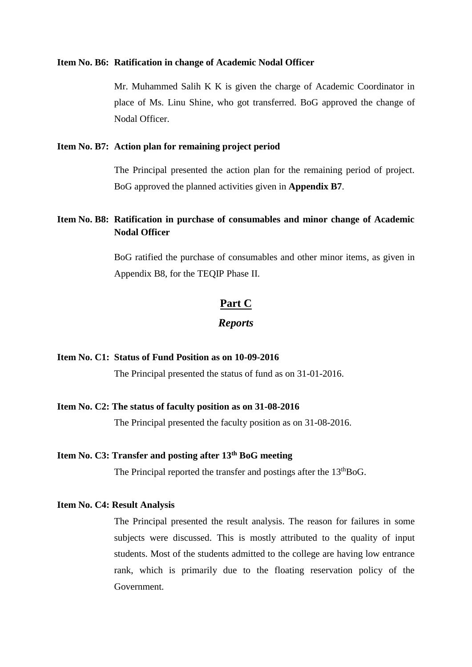#### **Item No. B6: Ratification in change of Academic Nodal Officer**

Mr. Muhammed Salih K K is given the charge of Academic Coordinator in place of Ms. Linu Shine, who got transferred. BoG approved the change of Nodal Officer.

### **Item No. B7: Action plan for remaining project period**

The Principal presented the action plan for the remaining period of project. BoG approved the planned activities given in **Appendix B7**.

# **Item No. B8: Ratification in purchase of consumables and minor change of Academic Nodal Officer**

BoG ratified the purchase of consumables and other minor items, as given in Appendix B8, for the TEQIP Phase II.

# **Part C**

## *Reports*

### **Item No. C1: Status of Fund Position as on 10-09-2016**

The Principal presented the status of fund as on 31-01-2016.

### **Item No. C2: The status of faculty position as on 31-08-2016**

The Principal presented the faculty position as on 31-08-2016.

# **Item No. C3: Transfer and posting after 13th BoG meeting**

The Principal reported the transfer and postings after the  $13<sup>th</sup>BoG$ .

### **Item No. C4: Result Analysis**

The Principal presented the result analysis. The reason for failures in some subjects were discussed. This is mostly attributed to the quality of input students. Most of the students admitted to the college are having low entrance rank, which is primarily due to the floating reservation policy of the Government.